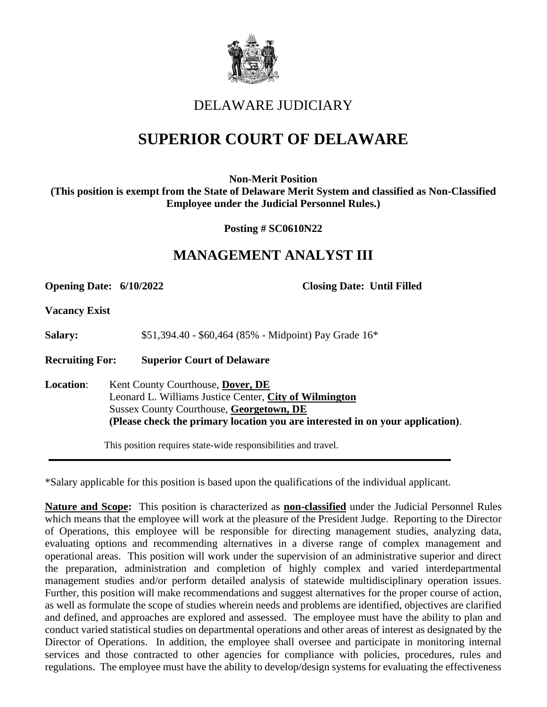

## DELAWARE JUDICIARY

# **SUPERIOR COURT OF DELAWARE**

**Non-Merit Position (This position is exempt from the State of Delaware Merit System and classified as Non-Classified Employee under the Judicial Personnel Rules.)**

**Posting # SC0610N22**

## **MANAGEMENT ANALYST III**

**Opening Date: 6/10/2022 Closing Date: Until Filled**

**Vacancy Exist**

**Salary:** \$51,394.40 - \$60,464 (85% - Midpoint) Pay Grade 16<sup>\*</sup>

**Recruiting For: Superior Court of Delaware**

**Location**: Kent County Courthouse, **Dover, DE** Leonard L. Williams Justice Center, **City of Wilmington** Sussex County Courthouse, **Georgetown, DE (Please check the primary location you are interested in on your application)**.

This position requires state-wide responsibilities and travel.

\*Salary applicable for this position is based upon the qualifications of the individual applicant.

**Nature and Scope:** This position is characterized as **non-classified** under the Judicial Personnel Rules which means that the employee will work at the pleasure of the President Judge. Reporting to the Director of Operations, this employee will be responsible for directing management studies, analyzing data, evaluating options and recommending alternatives in a diverse range of complex management and operational areas. This position will work under the supervision of an administrative superior and direct the preparation, administration and completion of highly complex and varied interdepartmental management studies and/or perform detailed analysis of statewide multidisciplinary operation issues. Further, this position will make recommendations and suggest alternatives for the proper course of action, as well as formulate the scope of studies wherein needs and problems are identified, objectives are clarified and defined, and approaches are explored and assessed. The employee must have the ability to plan and conduct varied statistical studies on departmental operations and other areas of interest as designated by the Director of Operations. In addition, the employee shall oversee and participate in monitoring internal services and those contracted to other agencies for compliance with policies, procedures, rules and regulations. The employee must have the ability to develop/design systems for evaluating the effectiveness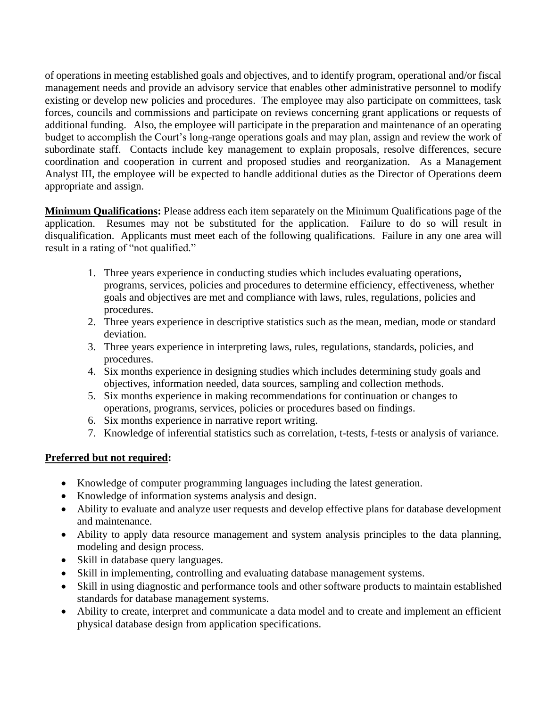of operations in meeting established goals and objectives, and to identify program, operational and/or fiscal management needs and provide an advisory service that enables other administrative personnel to modify existing or develop new policies and procedures. The employee may also participate on committees, task forces, councils and commissions and participate on reviews concerning grant applications or requests of additional funding. Also, the employee will participate in the preparation and maintenance of an operating budget to accomplish the Court's long-range operations goals and may plan, assign and review the work of subordinate staff. Contacts include key management to explain proposals, resolve differences, secure coordination and cooperation in current and proposed studies and reorganization. As a Management Analyst III, the employee will be expected to handle additional duties as the Director of Operations deem appropriate and assign.

**Minimum Qualifications:** Please address each item separately on the Minimum Qualifications page of the application. Resumes may not be substituted for the application. Failure to do so will result in disqualification. Applicants must meet each of the following qualifications. Failure in any one area will result in a rating of "not qualified."

- 1. Three years experience in conducting studies which includes evaluating operations, programs, services, policies and procedures to determine efficiency, effectiveness, whether goals and objectives are met and compliance with laws, rules, regulations, policies and procedures.
- 2. Three years experience in descriptive statistics such as the mean, median, mode or standard deviation.
- 3. Three years experience in interpreting laws, rules, regulations, standards, policies, and procedures.
- 4. Six months experience in designing studies which includes determining study goals and objectives, information needed, data sources, sampling and collection methods.
- 5. Six months experience in making recommendations for continuation or changes to operations, programs, services, policies or procedures based on findings.
- 6. Six months experience in narrative report writing.
- 7. Knowledge of inferential statistics such as correlation, t-tests, f-tests or analysis of variance.

#### **Preferred but not required:**

- Knowledge of computer programming languages including the latest generation.
- Knowledge of information systems analysis and design.
- Ability to evaluate and analyze user requests and develop effective plans for database development and maintenance.
- Ability to apply data resource management and system analysis principles to the data planning, modeling and design process.
- Skill in database query languages.
- Skill in implementing, controlling and evaluating database management systems.
- Skill in using diagnostic and performance tools and other software products to maintain established standards for database management systems.
- Ability to create, interpret and communicate a data model and to create and implement an efficient physical database design from application specifications.